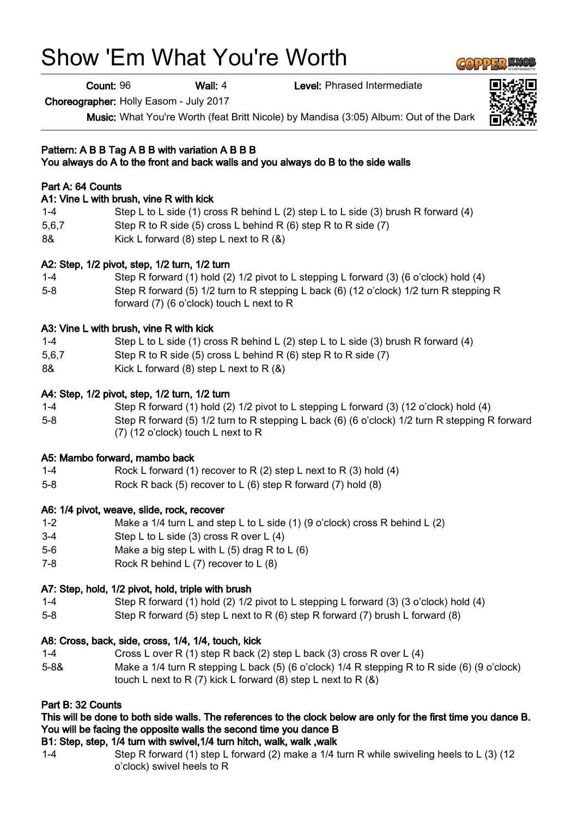# Show 'Em What You're Worth

Count: 96 Wall: 4 Level: Phrased Intermediate

Choreographer: Holly Easom - July 2017

Music: What You're Worth (feat Britt Nicole) by Mandisa (3:05) Album: Out of the Dark

#### Pattern: A B B Tag A B B with variation A B B B You always do A to the front and back walls and you always do B to the side walls

## Part A: 64 Counts

#### A1: Vine L with brush, vine R with kick

- 1-4 Step L to L side (1) cross R behind L (2) step L to L side (3) brush R forward (4)
- 5,6,7 Step R to R side (5) cross L behind R (6) step R to R side (7)
- 8& Kick L forward (8) step L next to R (&)

## A2: Step, 1/2 pivot, step, 1/2 turn, 1/2 turn

1-4 Step R forward (1) hold (2) 1/2 pivot to L stepping L forward (3) (6 o'clock) hold (4) 5-8 Step R forward (5) 1/2 turn to R stepping L back (6) (12 o'clock) 1/2 turn R stepping R forward (7) (6 o'clock) touch L next to R

### A3: Vine L with brush, vine R with kick

- 1-4 Step L to L side (1) cross R behind L (2) step L to L side (3) brush R forward (4)
- 5,6,7 Step R to R side (5) cross L behind R (6) step R to R side (7)
- 8& Kick L forward (8) step L next to R (&)

### A4: Step, 1/2 pivot, step, 1/2 turn, 1/2 turn

- 1-4 Step R forward (1) hold (2) 1/2 pivot to L stepping L forward (3) (12 o'clock) hold (4)
- 5-8 Step R forward (5) 1/2 turn to R stepping L back (6) (6 o'clock) 1/2 turn R stepping R forward (7) (12 o'clock) touch L next to R

## A5: Mambo forward, mambo back

- 1-4 Rock L forward (1) recover to R (2) step L next to R (3) hold (4)
- 5-8 Rock R back (5) recover to L (6) step R forward (7) hold (8)

## A6: 1/4 pivot, weave, slide, rock, recover

- 1-2 Make a 1/4 turn L and step L to L side (1) (9 o'clock) cross R behind L (2)
- 3-4 Step L to L side (3) cross R over L (4)
- 5-6 Make a big step L with L (5) drag R to L (6)
- 7-8 Rock R behind L (7) recover to L (8)

## A7: Step, hold, 1/2 pivot, hold, triple with brush

- 1-4 Step R forward (1) hold (2) 1/2 pivot to L stepping L forward (3) (3 o'clock) hold (4)
- 5-8 Step R forward (5) step L next to R (6) step R forward (7) brush L forward (8)

#### A8: Cross, back, side, cross, 1/4, 1/4, touch, kick

- 1-4 Cross L over R (1) step R back (2) step L back (3) cross R over L (4)
- 5-8& Make a 1/4 turn R stepping L back (5) (6 o'clock) 1/4 R stepping R to R side (6) (9 o'clock) touch L next to R  $(7)$  kick L forward  $(8)$  step L next to R  $(8)$

#### Part B: 32 Counts

## This will be done to both side walls. The references to the clock below are only for the first time you dance B. You will be facing the opposite walls the second time you dance B

#### B1: Step, step, 1/4 turn with swivel,1/4 turn hitch, walk, walk ,walk

1-4 Step R forward (1) step L forward (2) make a 1/4 turn R while swiveling heels to L (3) (12 o'clock) swivel heels to R